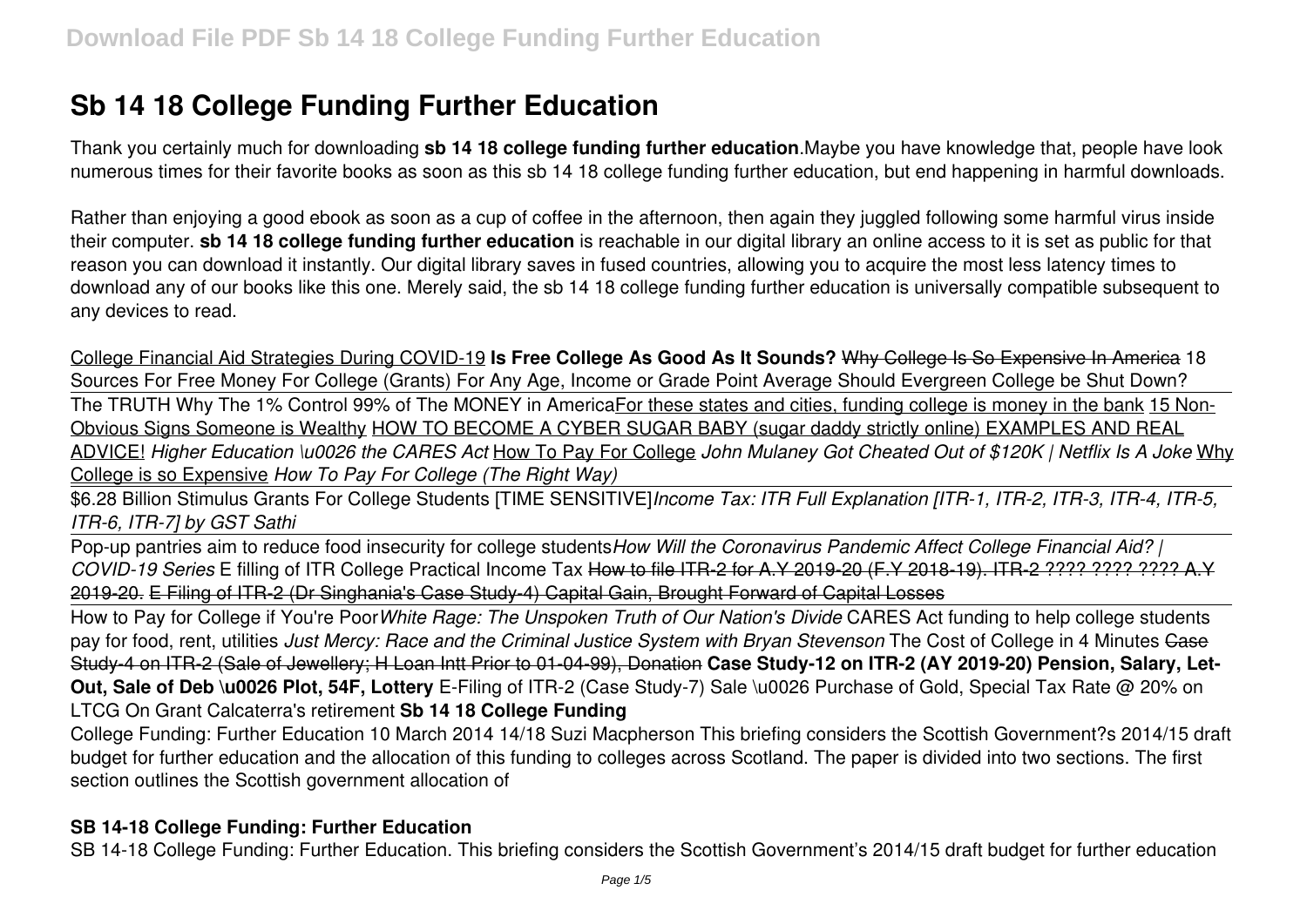# **Sb 14 18 College Funding Further Education**

Thank you certainly much for downloading **sb 14 18 college funding further education**.Maybe you have knowledge that, people have look numerous times for their favorite books as soon as this sb 14 18 college funding further education, but end happening in harmful downloads.

Rather than enjoying a good ebook as soon as a cup of coffee in the afternoon, then again they juggled following some harmful virus inside their computer. **sb 14 18 college funding further education** is reachable in our digital library an online access to it is set as public for that reason you can download it instantly. Our digital library saves in fused countries, allowing you to acquire the most less latency times to download any of our books like this one. Merely said, the sb 14 18 college funding further education is universally compatible subsequent to any devices to read.

College Financial Aid Strategies During COVID-19 **Is Free College As Good As It Sounds?** Why College Is So Expensive In America 18 Sources For Free Money For College (Grants) For Any Age, Income or Grade Point Average Should Evergreen College be Shut Down? The TRUTH Why The 1% Control 99% of The MONEY in AmericaFor these states and cities, funding college is money in the bank 15 Non-Obvious Signs Someone is Wealthy HOW TO BECOME A CYBER SUGAR BABY (sugar daddy strictly online) EXAMPLES AND REAL ADVICE! *Higher Education \u0026 the CARES Act* How To Pay For College *John Mulaney Got Cheated Out of \$120K | Netflix Is A Joke* Why College is so Expensive *How To Pay For College (The Right Way)*

\$6.28 Billion Stimulus Grants For College Students [TIME SENSITIVE]*Income Tax: ITR Full Explanation [ITR-1, ITR-2, ITR-3, ITR-4, ITR-5, ITR-6, ITR-7] by GST Sathi*

Pop-up pantries aim to reduce food insecurity for college students*How Will the Coronavirus Pandemic Affect College Financial Aid? | COVID-19 Series* E filling of ITR College Practical Income Tax How to file ITR-2 for A.Y 2019-20 (F.Y 2018-19). ITR-2 ???? ???? ???? A.Y 2019-20. E Filing of ITR-2 (Dr Singhania's Case Study-4) Capital Gain, Brought Forward of Capital Losses

How to Pay for College if You're Poor*White Rage: The Unspoken Truth of Our Nation's Divide* CARES Act funding to help college students pay for food, rent, utilities *Just Mercy: Race and the Criminal Justice System with Bryan Stevenson* The Cost of College in 4 Minutes Case Study-4 on ITR-2 (Sale of Jewellery; H Loan Intt Prior to 01-04-99), Donation **Case Study-12 on ITR-2 (AY 2019-20) Pension, Salary, Let-Out, Sale of Deb \u0026 Plot, 54F, Lottery** E-Filing of ITR-2 (Case Study-7) Sale \u0026 Purchase of Gold, Special Tax Rate @ 20% on LTCG On Grant Calcaterra's retirement **Sb 14 18 College Funding**

College Funding: Further Education 10 March 2014 14/18 Suzi Macpherson This briefing considers the Scottish Government?s 2014/15 draft budget for further education and the allocation of this funding to colleges across Scotland. The paper is divided into two sections. The first section outlines the Scottish government allocation of

# **SB 14-18 College Funding: Further Education**

SB 14-18 College Funding: Further Education. This briefing considers the Scottish Government's 2014/15 draft budget for further education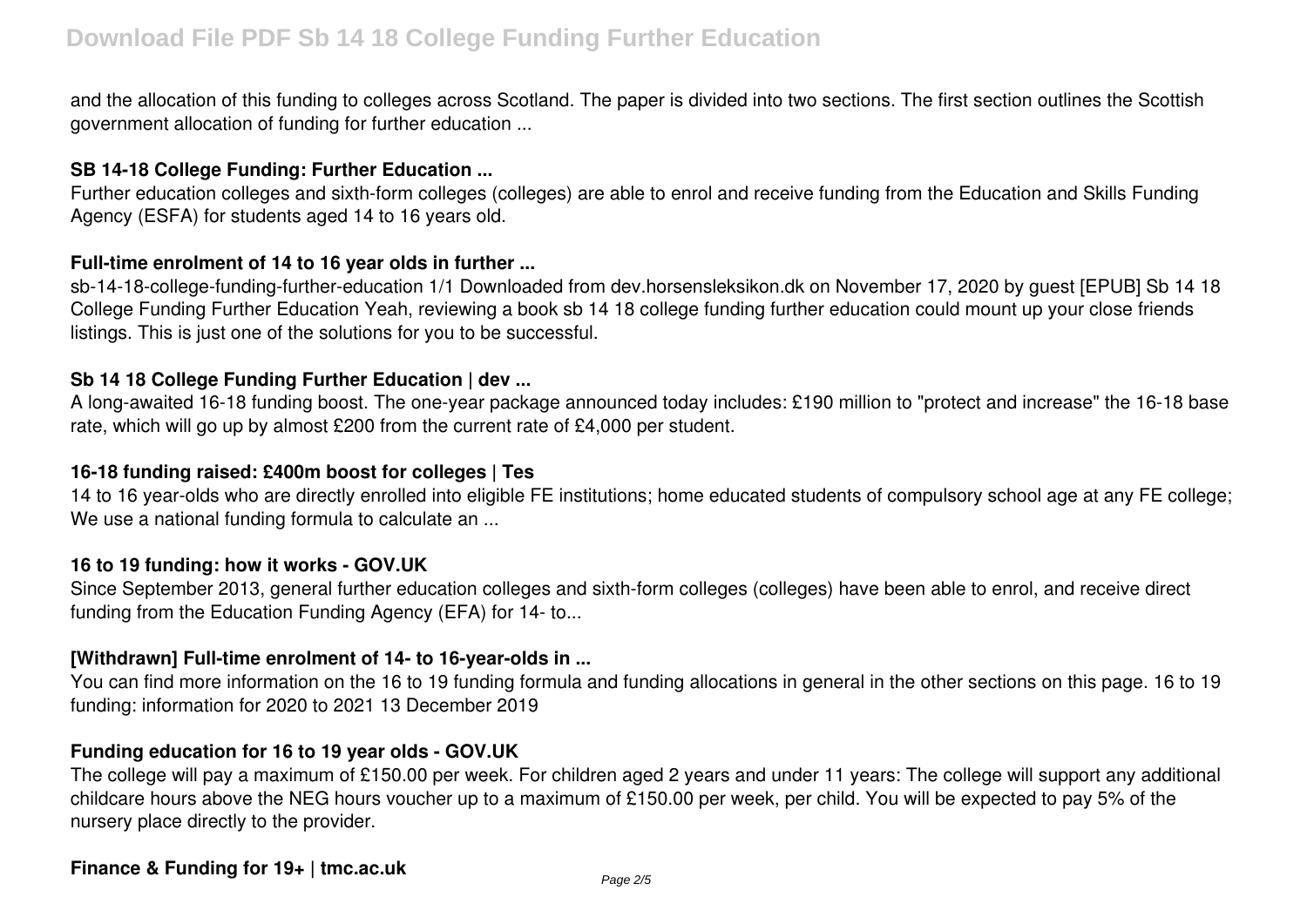and the allocation of this funding to colleges across Scotland. The paper is divided into two sections. The first section outlines the Scottish government allocation of funding for further education ...

## **SB 14-18 College Funding: Further Education ...**

Further education colleges and sixth-form colleges (colleges) are able to enrol and receive funding from the Education and Skills Funding Agency (ESFA) for students aged 14 to 16 years old.

## **Full-time enrolment of 14 to 16 year olds in further ...**

sb-14-18-college-funding-further-education 1/1 Downloaded from dev.horsensleksikon.dk on November 17, 2020 by guest [EPUB] Sb 14 18 College Funding Further Education Yeah, reviewing a book sb 14 18 college funding further education could mount up your close friends listings. This is just one of the solutions for you to be successful.

# **Sb 14 18 College Funding Further Education | dev ...**

A long-awaited 16-18 funding boost. The one-year package announced today includes: £190 million to "protect and increase" the 16-18 base rate, which will go up by almost £200 from the current rate of £4,000 per student.

# **16-18 funding raised: £400m boost for colleges | Tes**

14 to 16 year-olds who are directly enrolled into eligible FE institutions; home educated students of compulsory school age at any FE college; We use a national funding formula to calculate an ...

#### **16 to 19 funding: how it works - GOV.UK**

Since September 2013, general further education colleges and sixth-form colleges (colleges) have been able to enrol, and receive direct funding from the Education Funding Agency (EFA) for 14- to...

# **[Withdrawn] Full-time enrolment of 14- to 16-year-olds in ...**

You can find more information on the 16 to 19 funding formula and funding allocations in general in the other sections on this page. 16 to 19 funding: information for 2020 to 2021 13 December 2019

# **Funding education for 16 to 19 year olds - GOV.UK**

The college will pay a maximum of £150.00 per week. For children aged 2 years and under 11 years: The college will support any additional childcare hours above the NEG hours voucher up to a maximum of £150.00 per week, per child. You will be expected to pay 5% of the nursery place directly to the provider.

#### **Finance & Funding for 19+ | tmc.ac.uk**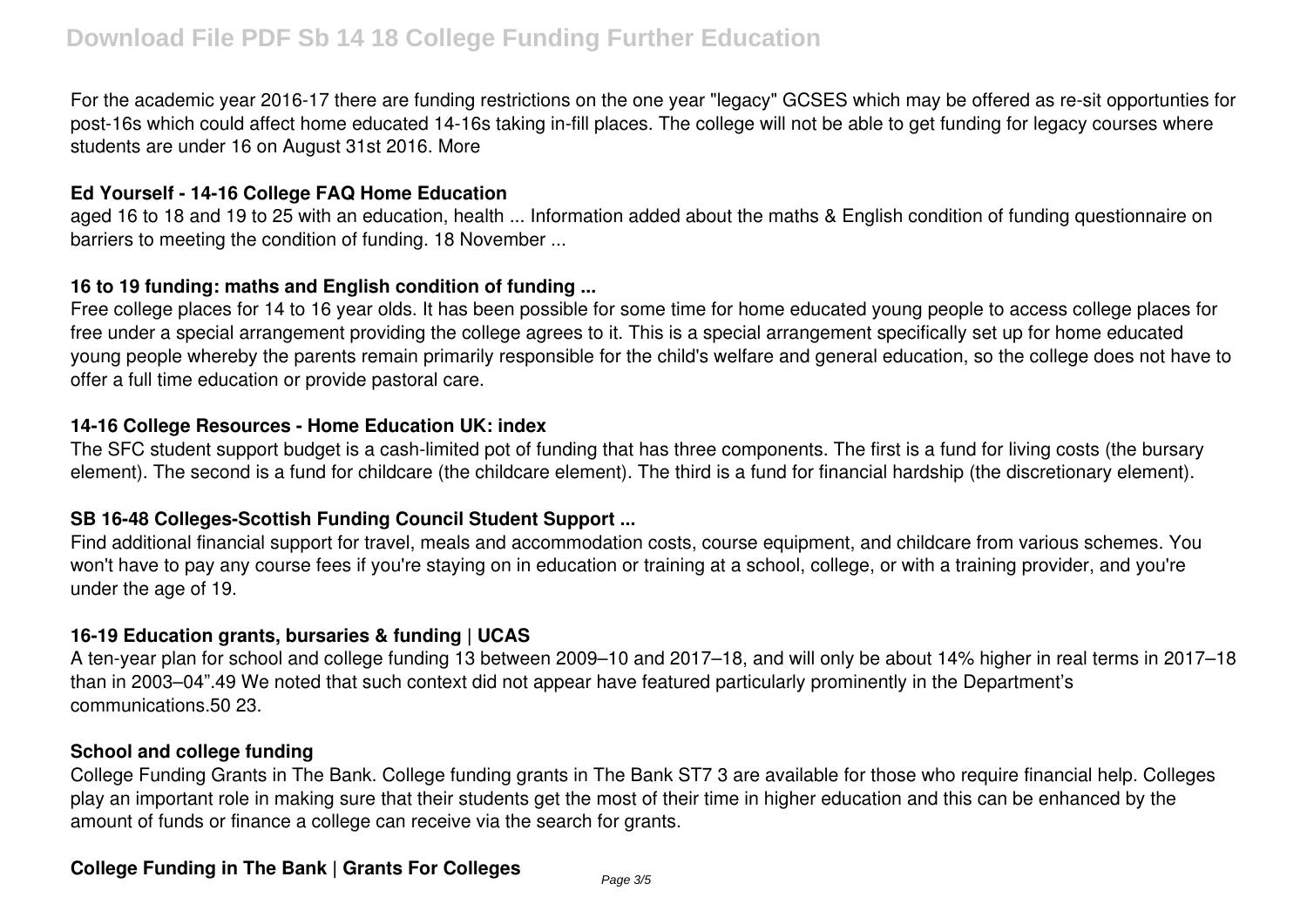For the academic year 2016-17 there are funding restrictions on the one year "legacy" GCSES which may be offered as re-sit opportunties for post-16s which could affect home educated 14-16s taking in-fill places. The college will not be able to get funding for legacy courses where students are under 16 on August 31st 2016. More

#### **Ed Yourself - 14-16 College FAQ Home Education**

aged 16 to 18 and 19 to 25 with an education, health ... Information added about the maths & English condition of funding questionnaire on barriers to meeting the condition of funding. 18 November ...

#### **16 to 19 funding: maths and English condition of funding ...**

Free college places for 14 to 16 year olds. It has been possible for some time for home educated young people to access college places for free under a special arrangement providing the college agrees to it. This is a special arrangement specifically set up for home educated young people whereby the parents remain primarily responsible for the child's welfare and general education, so the college does not have to offer a full time education or provide pastoral care.

#### **14-16 College Resources - Home Education UK: index**

The SFC student support budget is a cash-limited pot of funding that has three components. The first is a fund for living costs (the bursary element). The second is a fund for childcare (the childcare element). The third is a fund for financial hardship (the discretionary element).

# **SB 16-48 Colleges-Scottish Funding Council Student Support ...**

Find additional financial support for travel, meals and accommodation costs, course equipment, and childcare from various schemes. You won't have to pay any course fees if you're staying on in education or training at a school, college, or with a training provider, and you're under the age of 19.

# **16-19 Education grants, bursaries & funding | UCAS**

A ten-year plan for school and college funding 13 between 2009–10 and 2017–18, and will only be about 14% higher in real terms in 2017–18 than in 2003–04".49 We noted that such context did not appear have featured particularly prominently in the Department's communications.50 23.

#### **School and college funding**

College Funding Grants in The Bank. College funding grants in The Bank ST7 3 are available for those who require financial help. Colleges play an important role in making sure that their students get the most of their time in higher education and this can be enhanced by the amount of funds or finance a college can receive via the search for grants.

# **College Funding in The Bank | Grants For Colleges**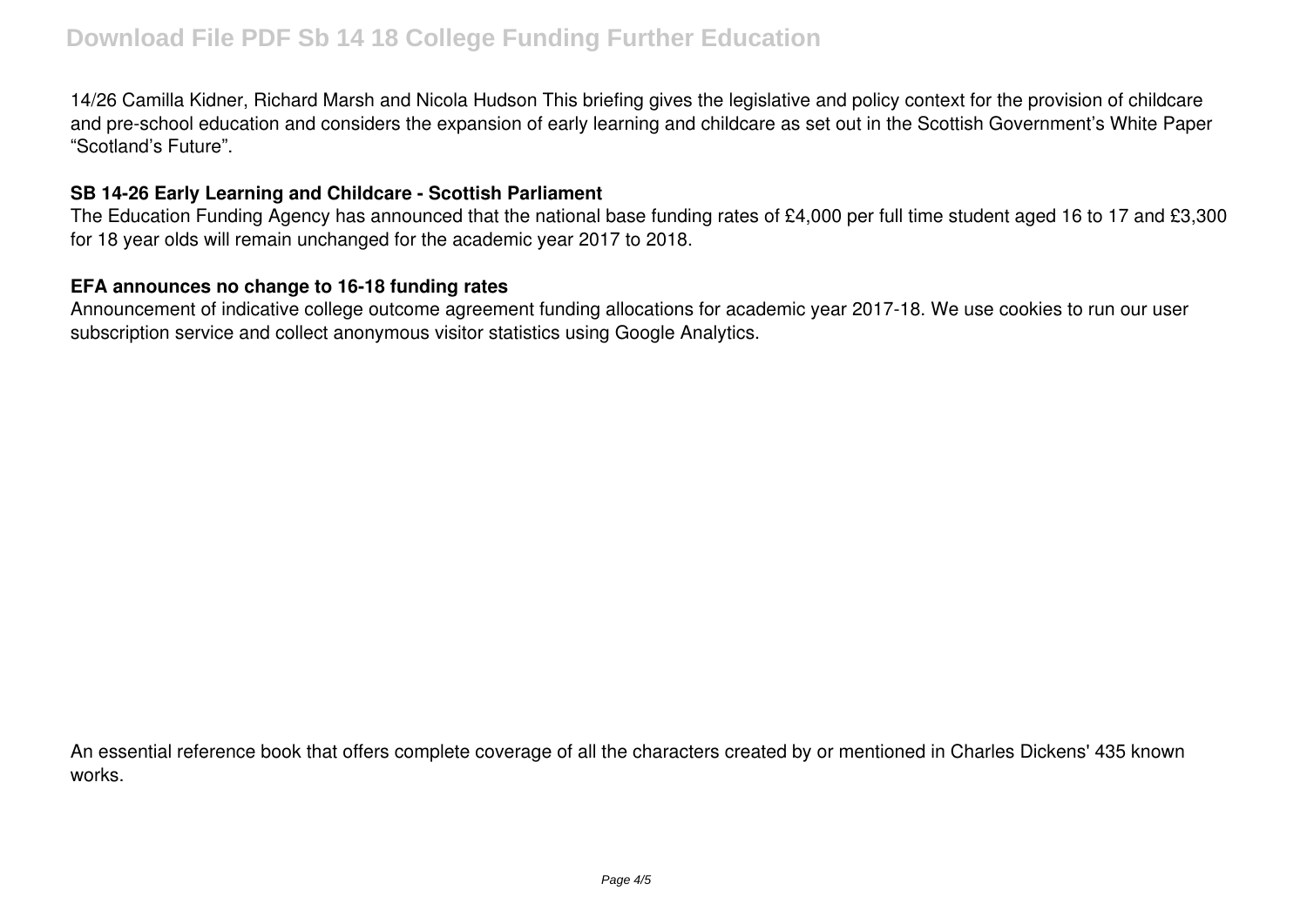14/26 Camilla Kidner, Richard Marsh and Nicola Hudson This briefing gives the legislative and policy context for the provision of childcare and pre-school education and considers the expansion of early learning and childcare as set out in the Scottish Government's White Paper "Scotland's Future".

## **SB 14-26 Early Learning and Childcare - Scottish Parliament**

The Education Funding Agency has announced that the national base funding rates of £4,000 per full time student aged 16 to 17 and £3,300 for 18 year olds will remain unchanged for the academic year 2017 to 2018.

#### **EFA announces no change to 16-18 funding rates**

Announcement of indicative college outcome agreement funding allocations for academic year 2017-18. We use cookies to run our user subscription service and collect anonymous visitor statistics using Google Analytics.

An essential reference book that offers complete coverage of all the characters created by or mentioned in Charles Dickens' 435 known works.